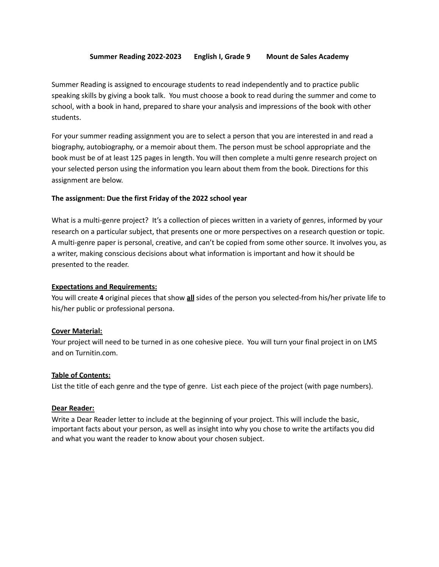### **Summer Reading 2022-2023 English I, Grade 9 Mount de Sales Academy**

Summer Reading is assigned to encourage students to read independently and to practice public speaking skills by giving a book talk. You must choose a book to read during the summer and come to school, with a book in hand, prepared to share your analysis and impressions of the book with other students.

For your summer reading assignment you are to select a person that you are interested in and read a biography, autobiography, or a memoir about them. The person must be school appropriate and the book must be of at least 125 pages in length. You will then complete a multi genre research project on your selected person using the information you learn about them from the book. Directions for this assignment are below.

### **The assignment: Due the first Friday of the 2022 school year**

What is a multi-genre project? It's a collection of pieces written in a variety of genres, informed by your research on a particular subject, that presents one or more perspectives on a research question or topic. A multi-genre paper is personal, creative, and can't be copied from some other source. It involves you, as a writer, making conscious decisions about what information is important and how it should be presented to the reader.

#### **Expectations and Requirements:**

You will create **4** original pieces that show **all** sides of the person you selected-from his/her private life to his/her public or professional persona.

### **Cover Material:**

Your project will need to be turned in as one cohesive piece. You will turn your final project in on LMS and on Turnitin.com.

### **Table of Contents:**

List the title of each genre and the type of genre. List each piece of the project (with page numbers).

### **Dear Reader:**

Write a Dear Reader letter to include at the beginning of your project. This will include the basic, important facts about your person, as well as insight into why you chose to write the artifacts you did and what you want the reader to know about your chosen subject.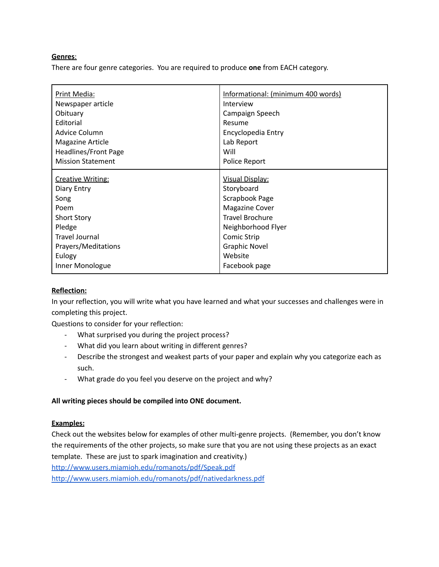## **Genres**:

There are four genre categories. You are required to produce **one** from EACH category.

| Print Media:             | Informational: (minimum 400 words) |
|--------------------------|------------------------------------|
| Newspaper article        | Interview                          |
| Obituary                 | Campaign Speech                    |
| Editorial                | Resume                             |
| Advice Column            | Encyclopedia Entry                 |
| <b>Magazine Article</b>  | Lab Report                         |
| Headlines/Front Page     | Will                               |
| <b>Mission Statement</b> | Police Report                      |
| <b>Creative Writing:</b> | Visual Display:                    |
| Diary Entry              | Storyboard                         |
| Song                     | Scrapbook Page                     |
| Poem                     | <b>Magazine Cover</b>              |
| <b>Short Story</b>       | <b>Travel Brochure</b>             |
| Pledge                   | Neighborhood Flyer                 |
| <b>Travel Journal</b>    | <b>Comic Strip</b>                 |
| Prayers/Meditations      | <b>Graphic Novel</b>               |
| Eulogy                   | Website                            |

# **Reflection:**

In your reflection, you will write what you have learned and what your successes and challenges were in completing this project.

Questions to consider for your reflection:

- What surprised you during the project process?
- What did you learn about writing in different genres?
- Describe the strongest and weakest parts of your paper and explain why you categorize each as such.
- What grade do you feel you deserve on the project and why?

### **All writing pieces should be compiled into ONE document.**

### **Examples:**

Check out the websites below for examples of other multi-genre projects. (Remember, you don't know the requirements of the other projects, so make sure that you are not using these projects as an exact template. These are just to spark imagination and creativity.)

<http://www.users.miamioh.edu/romanots/pdf/Speak.pdf>

<http://www.users.miamioh.edu/romanots/pdf/nativedarkness.pdf>